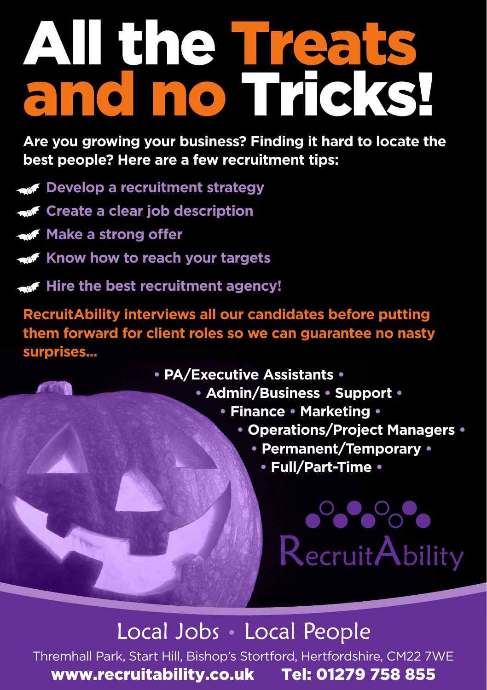## All the Treat and no Tricks!

**Are you growing your business? Finding it hard to locate the best people? Here are a few recruitment tips:** 

- **Develop a recruitment strategy**
- **Create a clear job description**
- **Make a strong offer**
- **Know how to reach your targets**
- **Hire the best recruitment agency!**

**RecruitAbility interviews all our candidates before putting them forward for client roles so we can guarantee no nasty surprises...**

- **PA/Executive Assistants •**
	- **Admin/Business Support •**
		- **Finance Marketing •**
			- **Operations/Project Managers •**
				- **Permanent/Temporary •**
					- **Full/Part-Time •**

### $\bullet$   $\bullet$   $\bullet$   $\bullet$ **RecruitAbility**

#### Local Jobs Local People

Thremhall Park, Start Hill, Bishop's Stortford, Hertfordshire, CM22 7WE www.recruitability.co.uk Tel: 01279 758 855